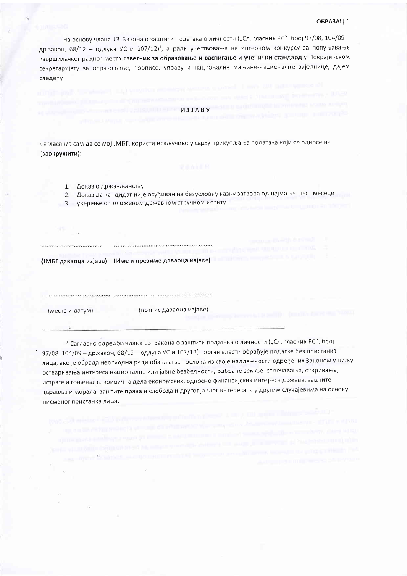## ОБРАЗАЦ 1

На основу члана 13. Закона о заштити података о личности ("Сл. гласник РС", број 97/08, 104/09 др.закон, 68/12 - одлука УС и 107/12)<sup>1</sup>, а ради учествовања на интерном конкурсу за попуњавање извршилачког радног места саветник за образовање и васпитање и ученички стандард у Покрајинском секретаријату за образовање, прописе, управу и националне мањине-националне заједнице, дајем следећу

*U3JABY* 

Сагласан/а сам да се мој ЈМБГ, користи искључиво у сврху прикупљања података који се односе на (заокружити):

- 1. Доказ о држављанству
- 2. Доказ да кандидат није осуђиван на безусловну казну затвора од најмање шест месеци
- 3. уверење о положеном државном стручном испиту

(ЈМБГ даваоца изјаве) (Име и презиме даваоца изјаве)

(место и датум)

(потпис даваоца изјаве)

1 Сагласно одредби члана 13. Закона о заштити података о личности ("Сл. гласник РС", број 97/08, 104/09 – др.закон, 68/12 – одлука УС и 107/12), орган власти обрађује податке без пристанка лица, ако је обрада неопходна ради обављања послова из своје надлежности одређених Законом у циљу остваривања интереса националне или јавне безбедности, одбране земље, спречавања, откривања, истраге и гоњења за кривична дела економских, односно финансијских интереса државе, заштите здравља и морала, заштите права и слобода и другог јавног интереса, а у другим случајевима на основу писменог пристанка лица.

and report the subment concerns and more thanks become account and about the construction with provided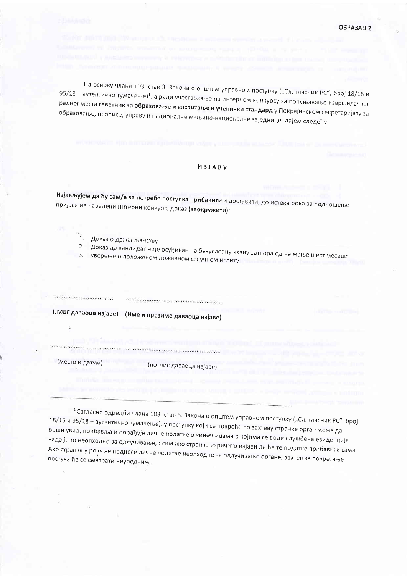На основу члана 103. став 3. Закона о општем управном поступку ("Сл. гласник РС", број 18/16 и 95/18 - аутентично тумачење)<sup>1</sup>, а ради учествовања на интерном конкурсу за попуњавање извршилачког радног места саветник за образовање и васпитање и ученички стандард у Покрајинском секретаријату за образовање, прописе, управу и националне мањине-националне заједнице, дајем следећу

## *ИЗЈАВУ*

Изјављујем да ћу сам/а за потребе поступка прибавити и доставити, до истека рока за подношење пријава на наведени интерни конкурс, доказ (заокружити):

- $1.$ Доказ о држављанству
- 
- 2. Доказ да кандидат није осуђиван на безусловну казну затвора од најмање шест месеци уверење о положеном државном стручном испиту

| $10055$ $1202201211$ |  |  |
|----------------------|--|--|

(ЈМБГ даваоца изјаве) (Име и презиме даваоца изјаве)

(место и датум)

..................................

(потпис даваоца изјаве)

<sup>1</sup> Сагласно одредби члана 103. став 3. Закона о општем управном поступку ("Сл. гласник РС", број 18/16 и 95/18 - аутентично тумачење), у поступку који се покреће по захтеву странке орган може да врши увид, прибавља и обрађује личне податке о чињеницама о којима се води службена евиденција када је то неопходно за одлучивање, осим ако странка изричито изјави да ће те податке прибавити сама. Ако странка у року не поднесе личне податке неопходне за одлучивање органе, захтев за покретање постука ће се сматрати неуредним.